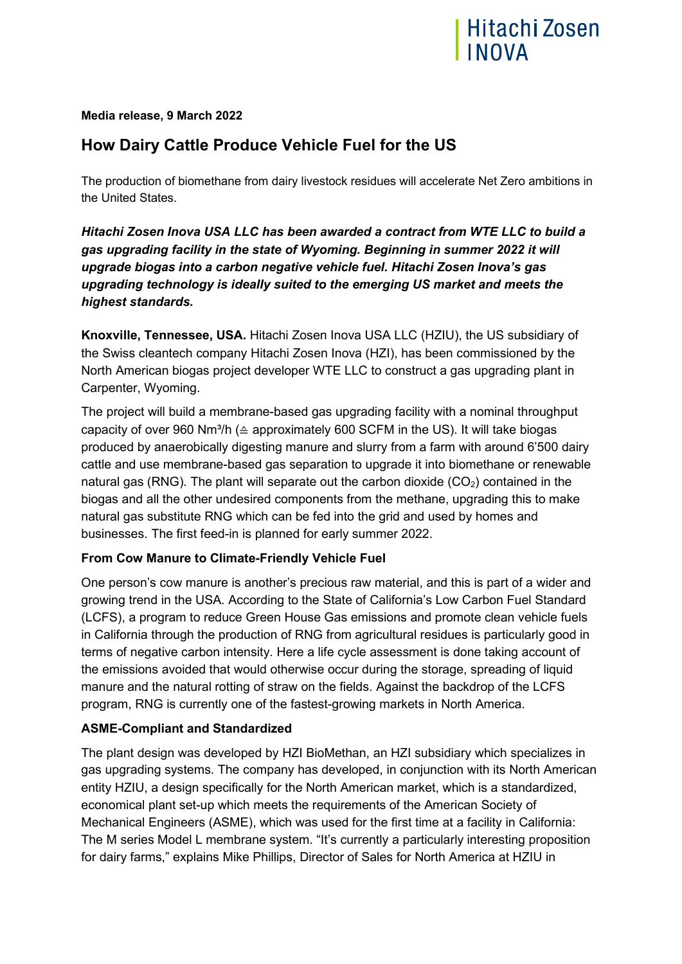

**Media release, 9 March 2022**

# **How Dairy Cattle Produce Vehicle Fuel for the US**

The production of biomethane from dairy livestock residues will accelerate Net Zero ambitions in the United States.

*Hitachi Zosen Inova USA LLC has been awarded a contract from WTE LLC to build a gas upgrading facility in the state of Wyoming. Beginning in summer 2022 it will upgrade biogas into a carbon negative vehicle fuel. Hitachi Zosen Inova's gas upgrading technology is ideally suited to the emerging US market and meets the highest standards.*

**Knoxville, Tennessee, USA.** Hitachi Zosen Inova USA LLC (HZIU), the US subsidiary of the Swiss cleantech company Hitachi Zosen Inova (HZI), has been commissioned by the North American biogas project developer WTE LLC to construct a gas upgrading plant in Carpenter, Wyoming.

The project will build a membrane-based gas upgrading facility with a nominal throughput capacity of over 960 Nm<sup>3</sup>/h ( $\triangleq$  approximately 600 SCFM in the US). It will take biogas produced by anaerobically digesting manure and slurry from a farm with around 6'500 dairy cattle and use membrane-based gas separation to upgrade it into biomethane or renewable natural gas (RNG). The plant will separate out the carbon dioxide  $(CO<sub>2</sub>)$  contained in the biogas and all the other undesired components from the methane, upgrading this to make natural gas substitute RNG which can be fed into the grid and used by homes and businesses. The first feed-in is planned for early summer 2022.

# **From Cow Manure to Climate-Friendly Vehicle Fuel**

One person's cow manure is another's precious raw material, and this is part of a wider and growing trend in the USA. According to the State of California's Low Carbon Fuel Standard (LCFS), a program to reduce Green House Gas emissions and promote clean vehicle fuels in California through the production of RNG from agricultural residues is particularly good in terms of negative carbon intensity. Here a life cycle assessment is done taking account of the emissions avoided that would otherwise occur during the storage, spreading of liquid manure and the natural rotting of straw on the fields. Against the backdrop of the LCFS program, RNG is currently one of the fastest-growing markets in North America.

# **ASME-Compliant and Standardized**

The plant design was developed by HZI BioMethan, an HZI subsidiary which specializes in gas upgrading systems. The company has developed, in conjunction with its North American entity HZIU, a design specifically for the North American market, which is a standardized, economical plant set-up which meets the requirements of the American Society of Mechanical Engineers (ASME), which was used for the first time at a facility in California: The M series Model L membrane system. "It's currently a particularly interesting proposition for dairy farms," explains Mike Phillips, Director of Sales for North America at HZIU in